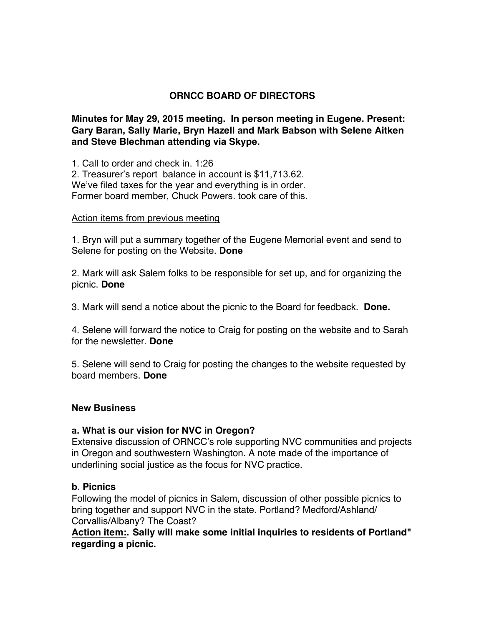# **ORNCC BOARD OF DIRECTORS**

**Minutes for May 29, 2015 meeting. In person meeting in Eugene. Present: Gary Baran, Sally Marie, Bryn Hazell and Mark Babson with Selene Aitken and Steve Blechman attending via Skype.**

1. Call to order and check in. 1:26 2. Treasurer's report balance in account is \$11,713.62. We've filed taxes for the year and everything is in order. Former board member, Chuck Powers. took care of this.

#### Action items from previous meeting

1. Bryn will put a summary together of the Eugene Memorial event and send to Selene for posting on the Website. **Done**

2. Mark will ask Salem folks to be responsible for set up, and for organizing the picnic. **Done**

3. Mark will send a notice about the picnic to the Board for feedback. **Done.**

4. Selene will forward the notice to Craig for posting on the website and to Sarah for the newsletter. **Done**

5. Selene will send to Craig for posting the changes to the website requested by board members. **Done**

## **New Business**

## **a. What is our vision for NVC in Oregon?**

Extensive discussion of ORNCC's role supporting NVC communities and projects in Oregon and southwestern Washington. A note made of the importance of underlining social justice as the focus for NVC practice.

#### **b. Picnics**

Following the model of picnics in Salem, discussion of other possible picnics to bring together and support NVC in the state. Portland? Medford/Ashland/ Corvallis/Albany? The Coast?

**Action item:. Sally will make some initial inquiries to residents of Portland" regarding a picnic.**